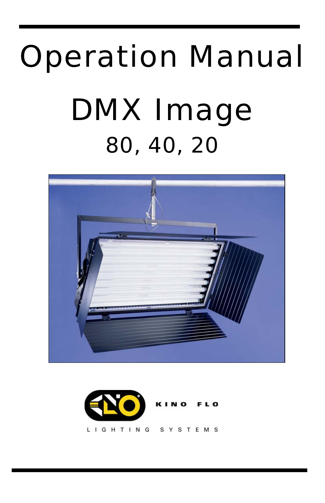# Operation Manual DMX Image 80, 40, 20



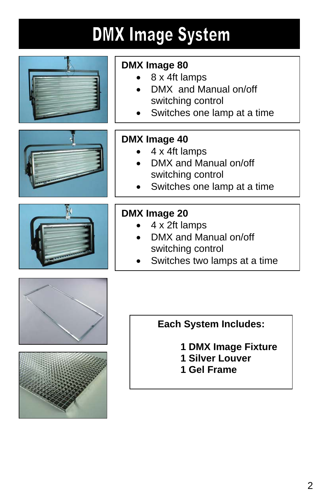# **DMX Image System**





- 8 x 4ft lamps
- DMX and Manual on/off switching control
- Switches one lamp at a time





#### **DMX Image 40**

- 4 x 4ft lamps
- DMX and Manual on/off switching control
- Switches one lamp at a time

#### **DMX Image 20**

- 4 x 2ft lamps
- DMX and Manual on/off switching control
- Switches two lamps at a time





#### **Each System Includes:**

**1 DMX Image Fixture 1 Silver Louver 1 Gel Frame**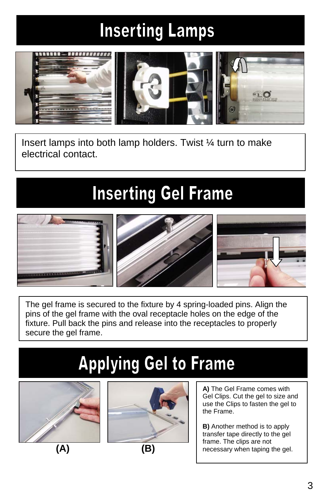# **Inserting Lamps**



Insert lamps into both lamp holders. Twist ¼ turn to make electrical contact.

### **Inserting Gel Frame**



The gel frame is secured to the fixture by 4 spring-loaded pins. Align the pins of the gel frame with the oval receptacle holes on the edge of the fixture. Pull back the pins and release into the receptacles to properly secure the gel frame.

# **Applying Gel to Frame**





**A)** The Gel Frame comes with Gel Clips. Cut the gel to size and use the Clips to fasten the gel to the Frame.

**B)** Another method is to apply transfer tape directly to the gel frame. The clips are not necessary when taping the gel.

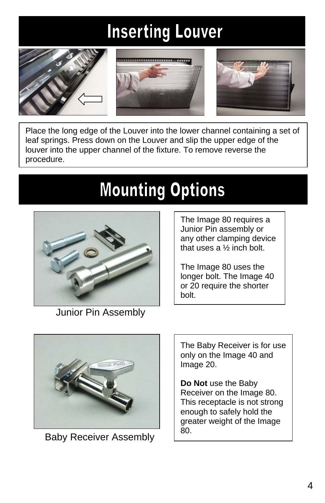# **Inserting Louver**







Place the long edge of the Louver into the lower channel containing a set of leaf springs. Press down on the Louver and slip the upper edge of the louver into the upper channel of the fixture. To remove reverse the procedure.

# **Mounting Options**



Junior Pin Assembly

The Image 80 requires a Junior Pin assembly or any other clamping device that uses a ½ inch bolt.

The Image 80 uses the longer bolt. The Image 40 or 20 require the shorter bolt.



Baby Receiver Assembly 80.

The Baby Receiver is for use only on the Image 40 and Image 20.

**Do Not** use the Baby Receiver on the Image 80. This receptacle is not strong enough to safely hold the greater weight of the Image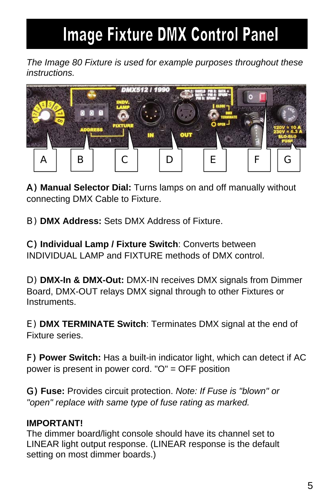### **Image Fixture DMX Control Panel**

*The Image 80 Fixture is used for example purposes throughout these instructions.* 



A) **Manual Selector Dial:** Turns lamps on and off manually without connecting DMX Cable to Fixture.

B) **DMX Address:** Sets DMX Address of Fixture.

C) **Individual Lamp / Fixture Switch**: Converts between INDIVIDUAL LAMP and FIXTURE methods of DMX control.

D) **DMX-In & DMX-Out:** DMX-IN receives DMX signals from Dimmer Board, DMX-OUT relays DMX signal through to other Fixtures or Instruments.

E) **DMX TERMINATE Switch**: Terminates DMX signal at the end of Fixture series.

F) **Power Switch:** Has a built-in indicator light, which can detect if AC power is present in power cord. "O" = OFF position

G) **Fuse:** Provides circuit protection. *Note: If Fuse is "blown" or "open" replace with same type of fuse rating as marked.*

#### **IMPORTANT!**

The dimmer board/light console should have its channel set to LINEAR light output response. (LINEAR response is the default setting on most dimmer boards.)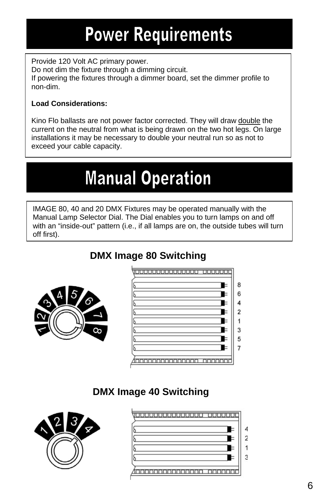### **Power Requirements**

Provide 120 Volt AC primary power. Do not dim the fixture through a dimming circuit. If powering the fixtures through a dimmer board, set the dimmer profile to non-dim.

#### **Load Considerations:**

Kino Flo ballasts are not power factor corrected. They will draw double the current on the neutral from what is being drawn on the two hot legs. On large installations it may be necessary to double your neutral run so as not to exceed your cable capacity.

### **Manual Operation**

IMAGE 80, 40 and 20 DMX Fixtures may be operated manually with the Manual Lamp Selector Dial. The Dial enables you to turn lamps on and off with an "inside-out" pattern (i.e., if all lamps are on, the outside tubes will turn off first).

#### **DMX Image 80 Switching**



| والمالما لمالحان المستوات المالي المالي المالي المالية إلمان |   |
|--------------------------------------------------------------|---|
|                                                              | 8 |
|                                                              | 6 |
|                                                              | 4 |
|                                                              | 2 |
|                                                              |   |
|                                                              | 3 |
|                                                              | 5 |
|                                                              |   |
|                                                              |   |

#### **DMX Image 40 Switching**



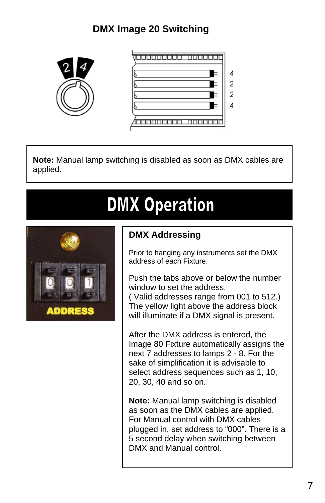### **DMX Image 20 Switching**





**Note:** Manual lamp switching is disabled as soon as DMX cables are applied.

### **DMX Operation**



#### **DMX Addressing**

Prior to hanging any instruments set the DMX address of each Fixture.

Push the tabs above or below the number window to set the address.

( Valid addresses range from 001 to 512.) The yellow light above the address block will illuminate if a DMX signal is present.

After the DMX address is entered, the Image 80 Fixture automatically assigns the next 7 addresses to lamps 2 - 8. For the sake of simplification it is advisable to select address sequences such as 1, 10, 20, 30, 40 and so on.

**Note:** Manual lamp switching is disabled as soon as the DMX cables are applied. For Manual control with DMX cables plugged in, set address to "000". There is a 5 second delay when switching between DMX and Manual control.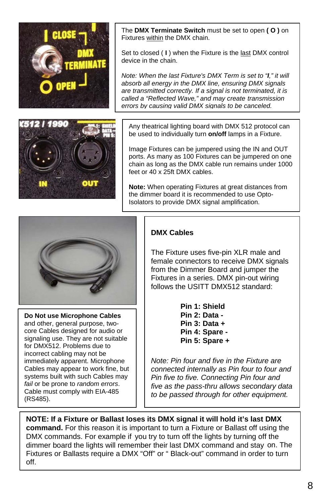

The **DMX Terminate Switch** must be set to open **( O )** on Fixtures within the DMX chain.

Set to closed ( **I** ) when the Fixture is the last DMX control device in the chain.

*Note: When the last Fixture's DMX Term is set to "I," it will absorb all energy in the DMX line, ensuring DMX signals are transmitted correctly. If a signal is not terminated, it is called a "Reflected Wave," and may create transmission errors by causing valid DMX signals to be canceled.*



Image Fixtures can be jumpered using the IN and OUT ports. As many as 100 Fixtures can be jumpered on one chain as long as the DMX cable run remains under 1000 feet or 40 x 25ft DMX cables.

**Note:** When operating Fixtures at great distances from the dimmer board it is recommended to use Opto-Isolators to provide DMX signal amplification.



**Do Not use Microphone Cables** and other, general purpose, twocore Cables designed for audio or signaling use. They are not suitable for DMX512. Problems due to incorrect cabling may not be immediately apparent. Microphone Cables may appear to work fine, but systems built with such Cables may *fail* or be prone to *random errors*. Cable must comply with EIA-485 (RS485).

#### **DMX Cables**

The Fixture uses five-pin XLR male and female connectors to receive DMX signals from the Dimmer Board and jumper the Fixtures in a series. DMX pin-out wiring follows the USITT DMX512 standard:

> **Pin 1: Shield Pin 2: Data - Pin 3: Data + Pin 4: Spare - Pin 5: Spare +**

*Note: Pin four and five in the Fixture are connected internally as Pin four to four and Pin five to five. Connecting Pin four and five as the pass-thru allows secondary data to be passed through for other equipment.*

**NOTE: If a Fixture or Ballast loses its DMX signal it will hold it's last DMX command.** For this reason it is important to turn a Fixture or Ballast off using the DMX commands. For example if you try to turn off the lights by turning off the dimmer board the lights will remember their last DMX command and stay on. The Fixtures or Ballasts require a DMX "Off" or " Black-out" command in order to turn off.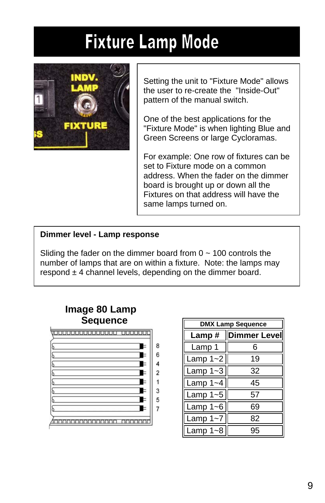### **Fixture Lamp Mode**



Setting the unit to "Fixture Mode" allows the user to re-create the "Inside-Out" pattern of the manual switch.

One of the best applications for the "Fixture Mode" is when lighting Blue and Green Screens or large Cycloramas.

For example: One row of fixtures can be set to Fixture mode on a common address. When the fader on the dimmer board is brought up or down all the Fixtures on that address will have the same lamps turned on.

#### **Dimmer level - Lamp response**

Sliding the fader on the dimmer board from  $0 \sim 100$  controls the number of lamps that are on within a fixture. Note: the lamps may respond  $\pm$  4 channel levels, depending on the dimmer board.



| <b>DMX Lamp Sequence</b> |                      |  |  |
|--------------------------|----------------------|--|--|
|                          | Lamp #  Dimmer Level |  |  |
| Lamp 1                   | 6                    |  |  |
| Lamp $1 - 2$             | 19                   |  |  |
| Lamp $1 - 3$             | 32                   |  |  |
| Lamp $1 - 4$             | 45                   |  |  |
| Lamp $1 - 5$             | 57                   |  |  |
| Lamp $1 - 6$             | 69                   |  |  |
| Lamp $1 - 7$             | 82                   |  |  |
| Lamp $1 - 8$             | 95                   |  |  |

#### **Image 80 Lamp Sequence**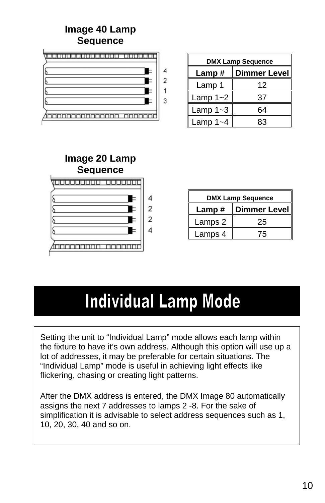#### **Image 40 Lamp Sequence**



| <b>DMX Lamp Sequence</b> |              |  |  |
|--------------------------|--------------|--|--|
| Lamp#                    | Dimmer Level |  |  |
| Lamp 1                   | 12           |  |  |
| Lamp $1 - 2$             | 37           |  |  |
| Lamp $1 - 3$             | 64           |  |  |
| Lamp $1 - 4$             | R٩           |  |  |



| <b>DMX Lamp Sequence</b> |              |  |  |
|--------------------------|--------------|--|--|
| Lamp#                    | Dimmer Level |  |  |
| Lamps 2                  | 25           |  |  |
| Lamps 4                  | 75           |  |  |

### **Individual Lamp Mode**

Setting the unit to "Individual Lamp" mode allows each lamp within the fixture to have it's own address. Although this option will use up a lot of addresses, it may be preferable for certain situations. The "Individual Lamp" mode is useful in achieving light effects like flickering, chasing or creating light patterns.

After the DMX address is entered, the DMX Image 80 automatically assigns the next 7 addresses to lamps 2 -8. For the sake of simplification it is advisable to select address sequences such as 1, 10, 20, 30, 40 and so on.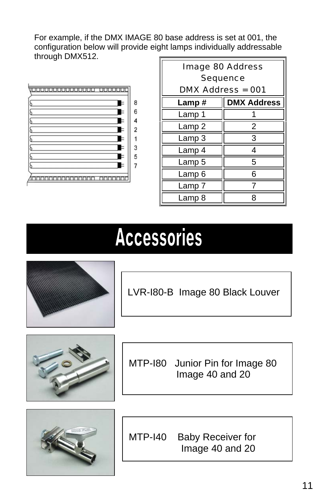For example, if the DMX IMAGE 80 base address is set at 001, the configuration below will provide eight lamps individually addressable through DMX512.



| <b>Image 80 Address</b><br><b>Sequence</b> |                    |  |  |
|--------------------------------------------|--------------------|--|--|
| <b>DMX Address = 001</b>                   |                    |  |  |
| Lamp#                                      | <b>DMX Address</b> |  |  |
| Lamp 1                                     |                    |  |  |
| Lamp 2                                     | 2                  |  |  |
| Lamp 3                                     | 3                  |  |  |
| Lamp 4                                     | 4                  |  |  |
| Lamp 5                                     | 5                  |  |  |
| Lamp <sub>6</sub>                          | 6                  |  |  |
| Lamp 7                                     |                    |  |  |
| Lamp 8                                     |                    |  |  |

# **Accessories**



LVR-I80-B Image 80 Black Louver



MTP-I80 Junior Pin for Image 80 Image 40 and 20



MTP-I40 Baby Receiver for Image 40 and 20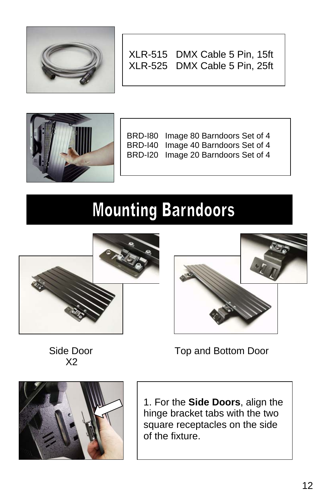

XLR-515 DMX Cable 5 Pin, 15ft XLR-525 DMX Cable 5 Pin, 25ft



BRD-I80 Image 80 Barndoors Set of 4 BRD-I40 Image 40 Barndoors Set of 4 BRD-I20 Image 20 Barndoors Set of 4

### **Mounting Barndoors**





Side Door X2



1. For the **Side Doors**, align the

Top and Bottom Door

hinge bracket tabs with the two square receptacles on the side of the fixture.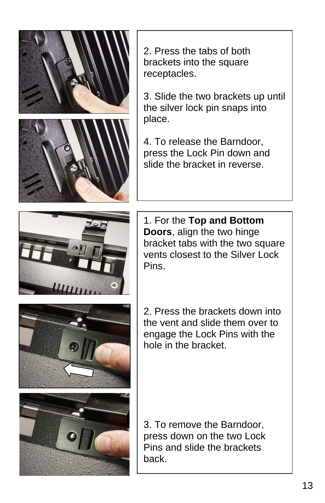

2. Press the tabs of both brackets into the square receptacles.

3. Slide the two brackets up until the silver lock pin snaps into place.

4. To release the Barndoor, press the Lock Pin down and slide the bracket in reverse.



1. For the **Top and Bottom Doors**, align the two hinge bracket tabs with the two square vents closest to the Silver Lock Pins.

2. Press the brackets down into the vent and slide them over to engage the Lock Pins with the hole in the bracket.



3. To remove the Barndoor, press down on the two Lock Pins and slide the brackets back.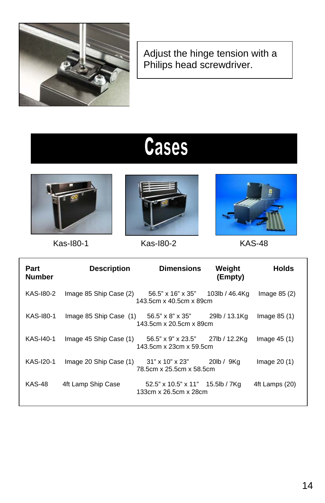

Adjust the hinge tension with a Philips head screwdriver.

# **Cases**





Kas-I80-1 Kas-I80-2 KAS-48



| Part<br><b>Number</b> | <b>Description</b>                                    | <b>Dimensions</b>                                           | Weight<br>(Empty) | <b>Holds</b>   |
|-----------------------|-------------------------------------------------------|-------------------------------------------------------------|-------------------|----------------|
| KAS-180-2             | Image 85 Ship Case (2)                                | 56.5" x 16" x 35"<br>143.5cm x 40.5cm x 89cm                | 103lb / 46.4Kg    | Image $85(2)$  |
| KAS-180-1             | Image 85 Ship Case (1) 56.5" x 8" x 35" 29lb / 13.1Kg | 143.5cm x 20.5cm x 89cm                                     |                   | Image $85(1)$  |
| KAS-140-1             | Image 45 Ship Case (1)                                | 56.5" x 9" x 23.5" 27lb / 12.2Kg<br>143.5cm x 23cm x 59.5cm |                   | Image $45(1)$  |
| KAS-120-1             | Image 20 Ship Case (1)                                | 31" x 10" x 23"<br>78.5cm x 25.5cm x 58.5cm                 | 20lb / 9Kg        | Image $20(1)$  |
| <b>KAS-48</b>         | 4ft Lamp Ship Case                                    | $52.5"$ x 10.5" x 11" 15.5lb / 7Kg<br>133cm x 26.5cm x 28cm |                   | 4ft Lamps (20) |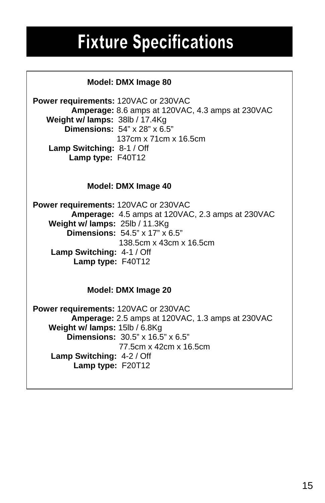### **Fixture Specifications**

#### **Model: DMX Image 80**

**Power requirements:** 120VAC or 230VAC  **Amperage:** 8.6 amps at 120VAC, 4.3 amps at 230VAC  **Weight w/ lamps:** 38lb / 17.4Kg  **Dimensions:** 54" x 28" x 6.5" 137cm x 71cm x 16.5cm  **Lamp Switching:** 8-1 / Off  **Lamp type:** F40T12

#### **Model: DMX Image 40**

**Power requirements:** 120VAC or 230VAC  **Amperage:** 4.5 amps at 120VAC, 2.3 amps at 230VAC  **Weight w/ lamps:** 25lb / 11.3Kg  **Dimensions:** 54.5" x 17" x 6.5" 138.5cm x 43cm x 16.5cm  **Lamp Switching:** 4-1 / Off  **Lamp type:** F40T12

#### **Model: DMX Image 20**

**Power requirements:** 120VAC or 230VAC  **Amperage:** 2.5 amps at 120VAC, 1.3 amps at 230VAC  **Weight w/ lamps:** 15lb / 6.8Kg  **Dimensions:** 30.5" x 16.5" x 6.5" 77.5cm x 42cm x 16.5cm  **Lamp Switching:** 4-2 / Off  **Lamp type:** F20T12